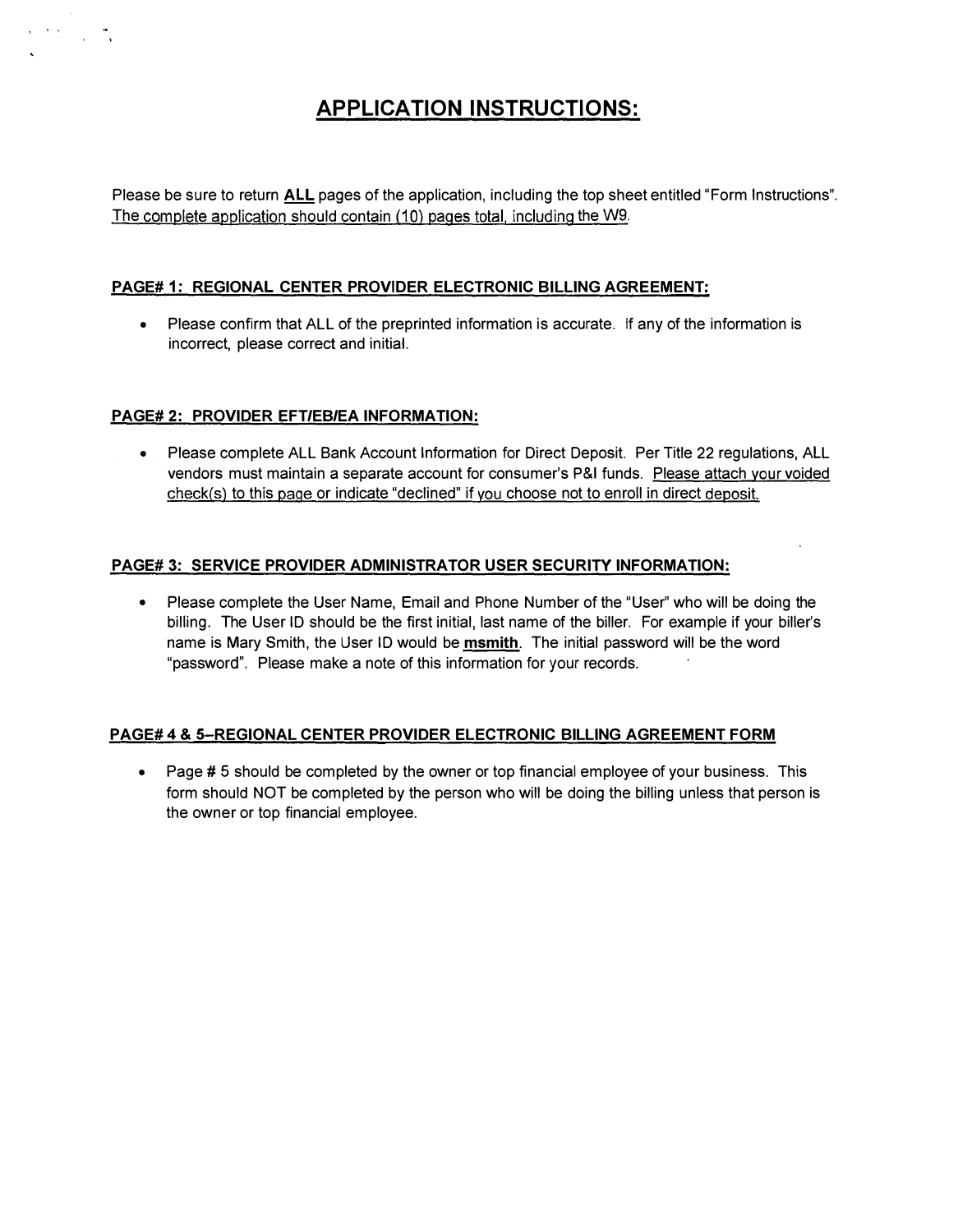## APPLICATION INSTRUCTIONS:

Please be sure to return ALL pages of the application, including the top sheet entitled "Form Instructions". The complete application should contain (10) pages total. including the W9.

### PAGE# 1: REGIONAL CENTER PROVIDER ELECTRONIC BILLING AGREEMENT:

• Please confirm that ALL of the preprinted information is accurate. If any of the information is incorrect, please correct and initial.

### PAGE# 2: PROVIDER EFT/EB/EA INFORMATION:

• Please complete ALL Bank Account Information for Direct Deposit. Per Title 22 regulations, ALL vendors must maintain a separate account for consumer's P&I funds. Please attach your voided check(s) to this page or indicate "declined" if you choose not to enroll in direct deposit.

### PAGE# 3: SERVICE PROVIDER ADMINISTRATOR USER SECURITY INFORMATION:

• Please complete the User Name, Email and Phone Number of the "User" who will be doing the billing. The User ID should be the first initial, last name of the biller. For example if your biller's name is Mary Smith, the User ID would be msmith. The initial password will be the word "password". Please make a note of this information for your records.

### PAGE# 4 & 5-REGIONAL CENTER PROVIDER ELECTRONIC BILLING AGREEMENT FORM

• Page # 5 should be completed by the owner or top financial employee of your business. This form should NOT be completed by the person who will be doing the billing unless that person is the owner or top financial employee.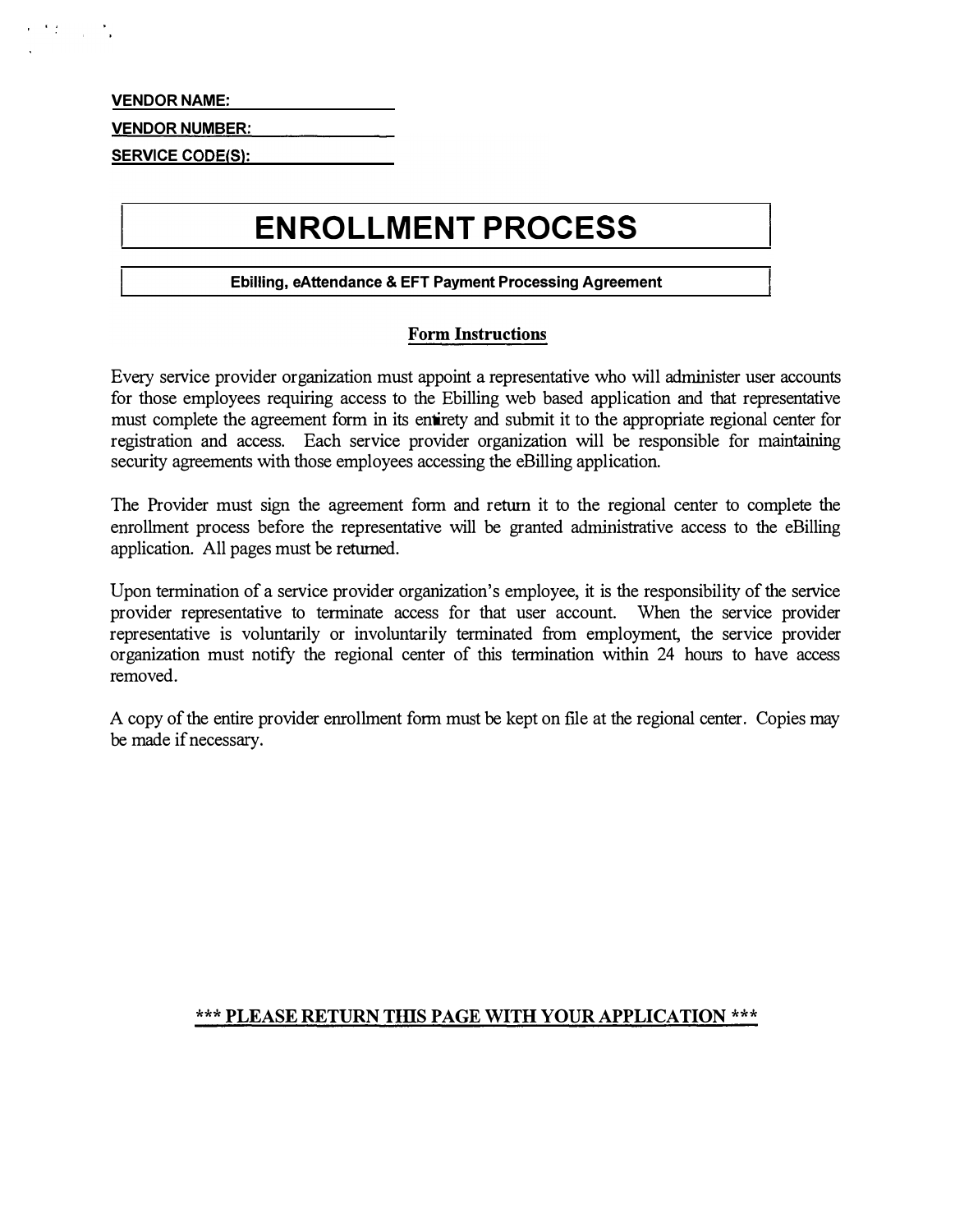VENDOR NAME:

 $\mathcal{F}(\mathcal{L})$  ,  $\mathcal{L}$ 

VENDOR NUMBER:

**SERVICE CODE(S):** 

# ENROLLMENT PROCESS

### Ebilling, eAttendance & EFT Payment Processing Agreement

### Form Instructions

Every service provider organization must appoint a representative who will administer user accounts for those employees requiring access to the Ebilling web based application and that representative must complete the agreement form in its entirety and submit it to the appropriate regional center for registration and access. Each service provider organization will be responsible for maintaining security agreements with those employees accessing the eBilling application.

The Provider must sign the agreement form and return it to the regional center to complete the enrollment process before the representative will be granted administrative access to the eBilling application. All pages must be returned.

Upon termination of a service provider organization's employee, it is the responsibility of the service provider representative to terminate access for that user account. When the service provider representative is voluntarily or involuntarily terminated from employment, the service provider organization must notify the regional center of this termination within 24 hours to have access removed.

A copy of the entire provider enrollment form must be kept on file at the regional center. Copies may be made if necessary.

### \*\*\* PLEASE RETURN THIS PAGE WITH YOUR APPLICATION \*\*\*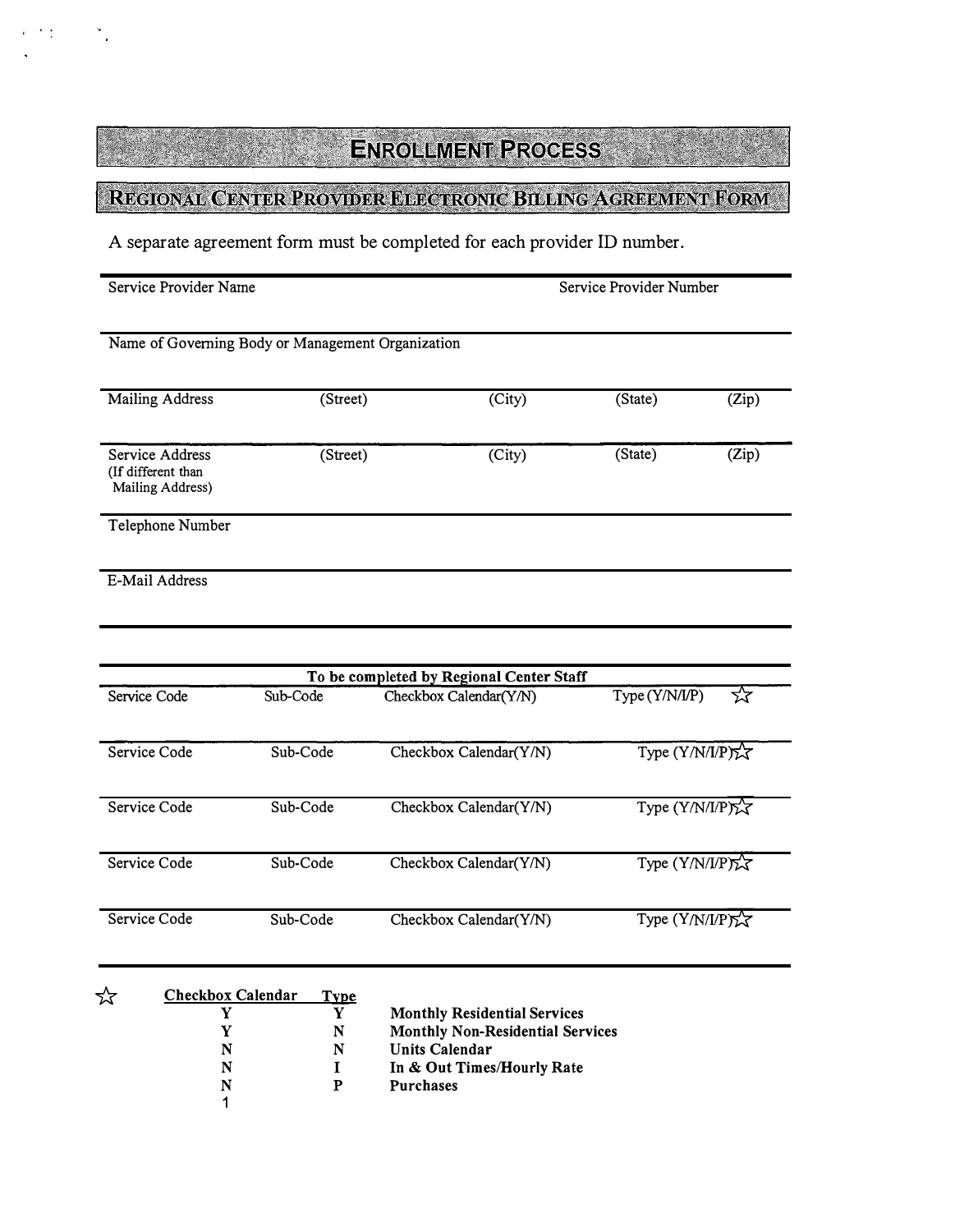## REGIONAL CENTER PROVIDER ELECTRONIC BILLING AGREEMENT FORM

A separate agreement form must be completed for each provider ID number.

| Service Provider Name                                     |                           |                                                                                | Service Provider Number |                |  |
|-----------------------------------------------------------|---------------------------|--------------------------------------------------------------------------------|-------------------------|----------------|--|
| Name of Governing Body or Management Organization         |                           |                                                                                |                         |                |  |
|                                                           |                           |                                                                                |                         |                |  |
| Mailing Address                                           | (Street)                  | (City)                                                                         | (State)                 | (Zip)          |  |
| Service Address<br>(If different than<br>Mailing Address) | (Street)                  | (City)                                                                         | (State)                 | (Zip)          |  |
| Telephone Number                                          |                           |                                                                                |                         |                |  |
| E-Mail Address                                            |                           |                                                                                |                         |                |  |
|                                                           |                           |                                                                                |                         |                |  |
|                                                           |                           | To be completed by Regional Center Staff                                       |                         |                |  |
| Service Code                                              | Sub-Code                  | Checkbox Calendar(Y/N)                                                         | Type (Y/N/I/P)          | ফ              |  |
| Service Code                                              | Sub-Code                  | Checkbox Calendar(Y/N)                                                         |                         | Type (Y/N/I/P) |  |
| Service Code                                              | Sub-Code                  | Checkbox Calendar(Y/N)                                                         |                         | Type (Y/N/I/P) |  |
| Service Code                                              | Sub-Code                  | Checkbox Calendar(Y/N)                                                         |                         | Type (Y/N/I/P) |  |
| Service Code                                              | Sub-Code                  | Checkbox Calendar(Y/N)                                                         |                         | Type (Y/N/I/P) |  |
| ☆<br><b>Checkbox Calendar</b>                             | <b>Type</b>               |                                                                                |                         |                |  |
| Y<br>Y                                                    | $\mathbf{Y}$<br>${\bf N}$ | <b>Monthly Residential Services</b><br><b>Monthly Non-Residential Services</b> |                         |                |  |
| N<br>${\bf N}$                                            |                           | <b>Units Calendar</b>                                                          |                         |                |  |
| $\mathbf N$                                               | $\mathbf I$               | In & Out Times/Hourly Rate                                                     |                         |                |  |
| N                                                         | ${\bf P}$                 | Purchases                                                                      |                         |                |  |
| 1                                                         |                           |                                                                                |                         |                |  |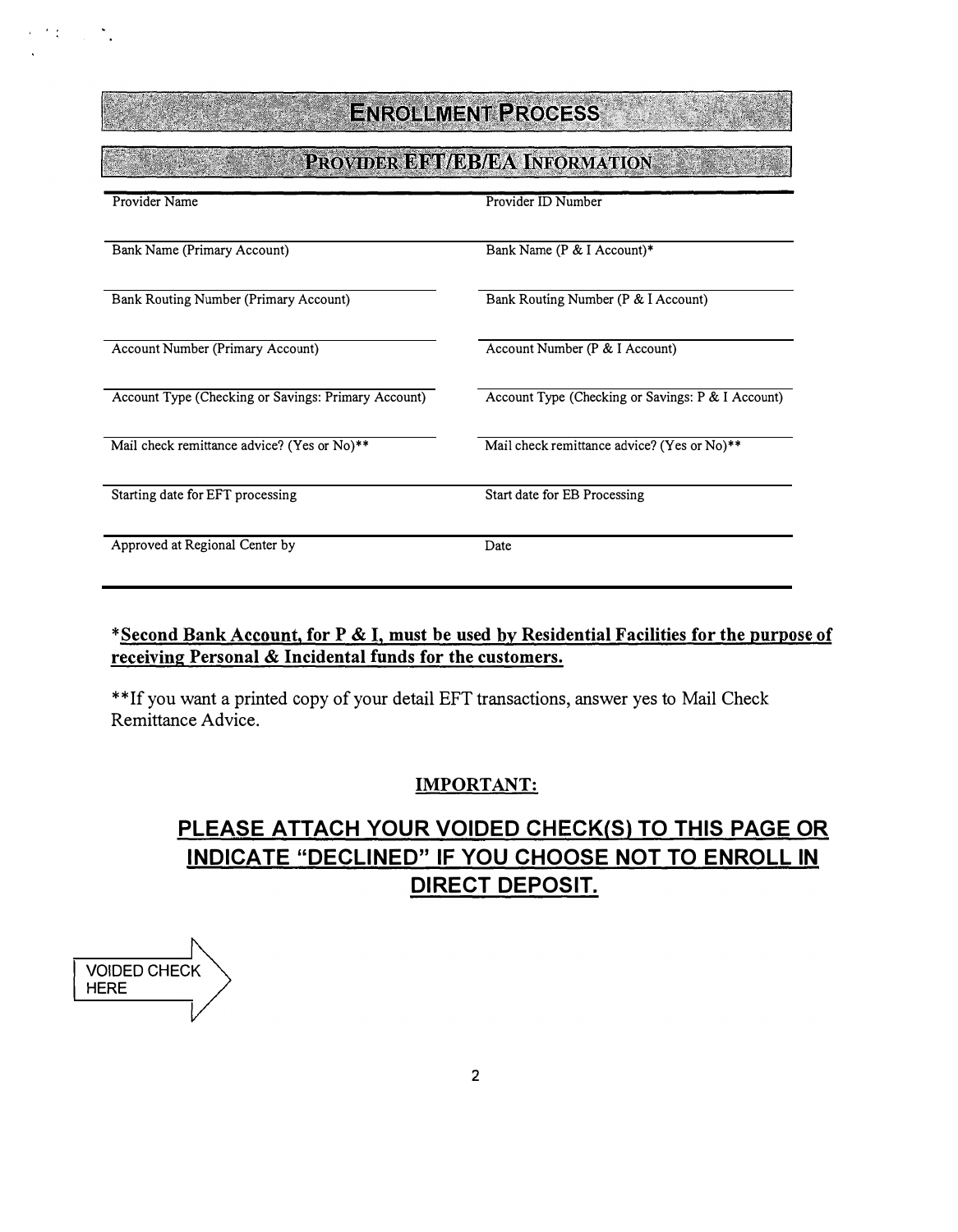## PROVIDER EFT/EB/EA INFORMATION

| Provider Name                                       | Provider ID Number                                |
|-----------------------------------------------------|---------------------------------------------------|
|                                                     |                                                   |
| Bank Name (Primary Account)                         | Bank Name (P & I Account)*                        |
|                                                     |                                                   |
| Bank Routing Number (Primary Account)               | Bank Routing Number (P & I Account)               |
|                                                     |                                                   |
| <b>Account Number (Primary Account)</b>             | Account Number (P & I Account)                    |
|                                                     |                                                   |
| Account Type (Checking or Savings: Primary Account) | Account Type (Checking or Savings: P & I Account) |
|                                                     |                                                   |
| Mail check remittance advice? (Yes or No)**         | Mail check remittance advice? (Yes or No)**       |
|                                                     |                                                   |
| Starting date for EFT processing                    | Start date for EB Processing                      |
|                                                     |                                                   |
| Approved at Regional Center by                      | Date                                              |
|                                                     |                                                   |

### \*Second Bank Account, for P & I, must be used by Residential Facilities for the purpose of receiving Personal & Incidental funds for the customers.

\*\*Ifyou want a printed copy of your detail EFT transactions, answer yes to Mail Check Remittance Advice.

### IMPORTANT:

## PLEASE ATTACH YOUR VOIDED CHECK(S) TO THIS PAGE OR INDICATE "DECLINED" IF YOU CHOOSE NOT TO ENROLL IN DIRECT DEPOSIT.

VOIDED CHECK HERE

 $\mathcal{F}(\xi) = \frac{1}{2\pi i}$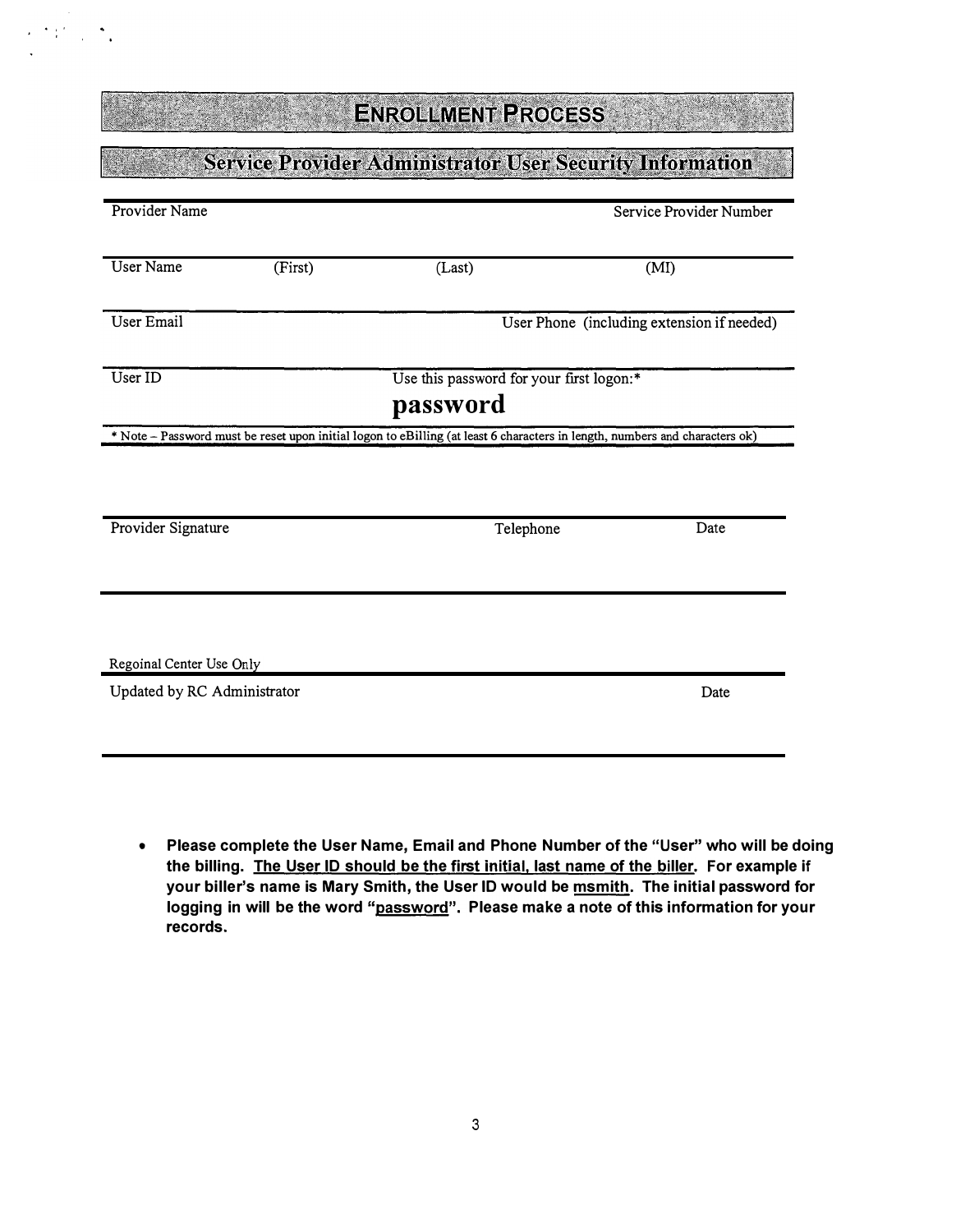÷.

## **Service Provider Administrator User Security Information**

| Provider Name                                                                                                               |          |                                            | Service Provider Number |      |  |  |
|-----------------------------------------------------------------------------------------------------------------------------|----------|--------------------------------------------|-------------------------|------|--|--|
| <b>User Name</b>                                                                                                            | (First)  | (Last)                                     | (MI)                    |      |  |  |
| User Email                                                                                                                  |          | User Phone (including extension if needed) |                         |      |  |  |
| User ID                                                                                                                     |          | Use this password for your first logon:*   |                         |      |  |  |
|                                                                                                                             | password |                                            |                         |      |  |  |
| * Note - Password must be reset upon initial logon to eBilling (at least 6 characters in length, numbers and characters ok) |          |                                            |                         |      |  |  |
|                                                                                                                             |          |                                            |                         |      |  |  |
| Provider Signature                                                                                                          |          | Telephone                                  |                         | Date |  |  |
|                                                                                                                             |          |                                            |                         |      |  |  |
| Regoinal Center Use Only                                                                                                    |          |                                            |                         |      |  |  |
| Updated by RC Administrator                                                                                                 |          |                                            |                         | Date |  |  |

• Please complete the User Name, Email and Phone Number of the "User" who will be doing the billing. The User ID should be the first initial. last name of the biller. For example if your biller's name is Mary Smith, the User ID would be msmith. The initial password for logging in will be the word "password". Please make a note of this information for your records.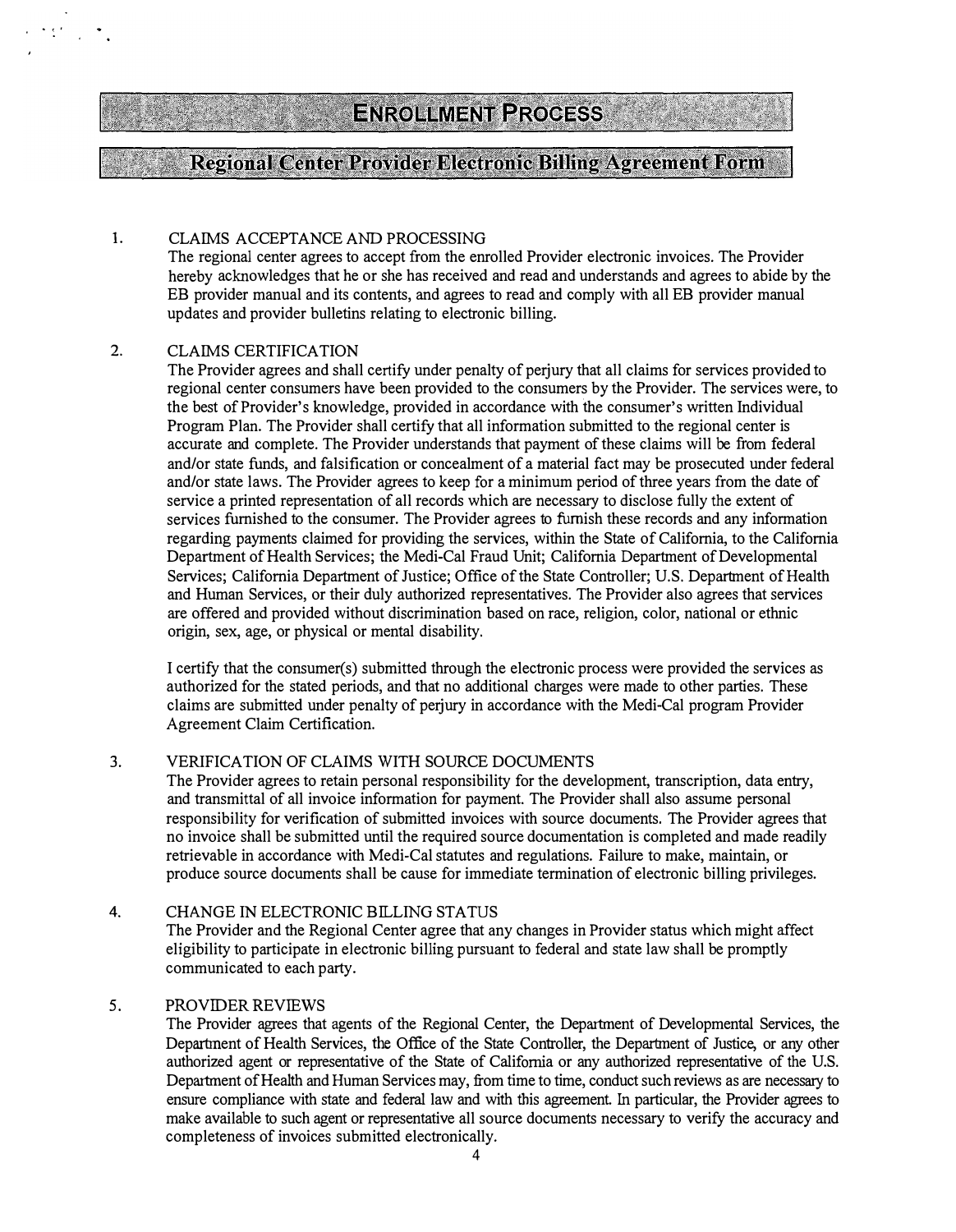### **Regional Center Provider Electronic Billing Agreement Form**

#### 1. CLAIMS ACCEPTANCE AND PROCESSING

The regional center agrees to accept from the enrolled Provider electronic invoices. The Provider hereby acknowledges that he or she has received and read and understands and agrees to abide by the EB provider manual and its contents, and agrees to read and comply with all EB provider manual updates and provider bulletins relating to electronic billing.

#### 2. CLAIMS CERTIFICATION

"' � .

The Provider agrees and shall certify under penalty of perjury that all claims for services provided to regional center consumers have been provided to the consumers by the Provider. The services were, to the best of Provider's knowledge, provided in accordance with the consumer's written Individual Program Plan. The Provider shall certify that all information submitted to the regional center is accurate and complete. The Provider understands that payment of these claims will be from federal and/or state funds, and falsification or concealment of a material fact may be prosecuted under federal and/or state laws. The Provider agrees to keep for a minimum period of three years from the date of service a printed representation of all records which are necessary to disclose fully the extent of services furnished to the consumer. The Provider agrees to furnish these records and any information regarding payments claimed for providing the services, within the State of California, to the California Department of Health Services; the Medi-Cal Fraud Unit; California Department of Developmental Services; California Department of Justice; Office of the State Controller; U.S. Department of Health and Human Services, or their duly authorized representatives. The Provider also agrees that services are offered and provided without discrimination based on race, religion, color, national or ethnic origin, sex, age, or physical or mental disability.

I certify that the consumer(s) submitted through the electronic process were provided the services as authorized for the stated periods, and that no additional charges were made to other parties. These claims are submitted under penalty of perjury in accordance with the Medi-Cal program Provider Agreement Claim Certification.

#### 3. VERIFICATION OF CLAIMS WITH SOURCE DOCUMENTS

The Provider agrees to retain personal responsibility for the development, transcription, data entry, and transmittal of all invoice information for payment. The Provider shall also assume personal responsibility for verification of submitted invoices with source documents. The Provider agrees that no invoice shall be submitted until the required source documentation is completed and made readily retrievable in accordance with Medi-Cal statutes and regulations. Failure to make, maintain, or produce source documents shall be cause for immediate termination of electronic billing privileges.

#### 4. CHANGE IN ELECTRONIC BILLING STATUS

The Provider and the Regional Center agree that any changes in Provider status which might affect eligibility to participate in electronic billing pursuant to federal and state law shall be promptly communicated to each party.

#### 5. PROVIDER REVIEWS

The Provider agrees that agents of the Regional Center, the Department of Developmental Services, the Department of Health Services, the Office of the State Controller, the Department of Justice, or any other authorized agent or representative of the State of California or any authorized representative of the U.S. Department of Health and Human Services may, from time to time, conduct such reviews as are necessary to ensure compliance with state and federal law and with this agreement. In particular, the Provider agrees to make available to such agent or representative all source documents necessary to verify the accuracy and completeness of invoices submitted electronically.